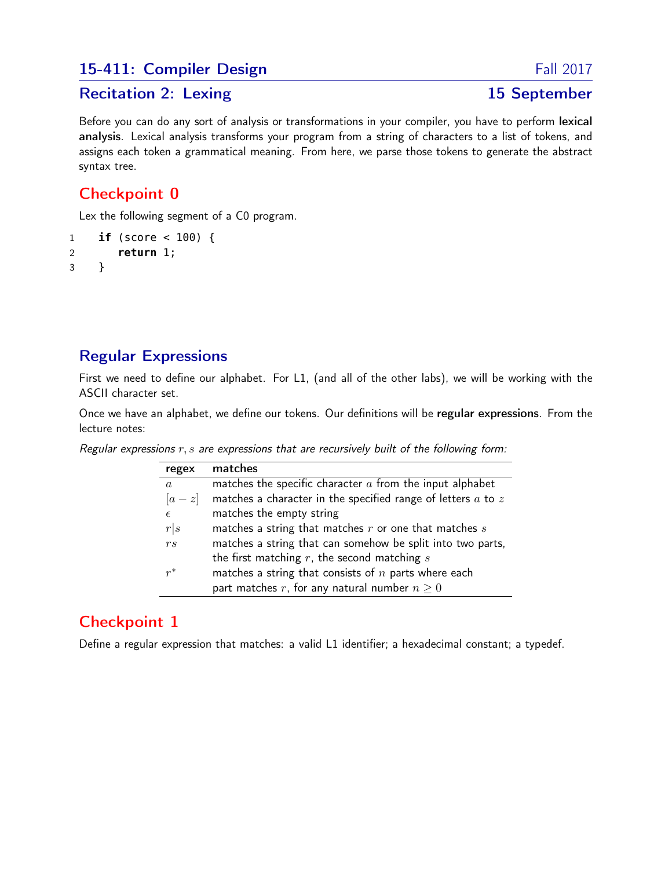### 15-411: Compiler Design Fall 2017

#### Recitation 2: Lexing 15 September

Before you can do any sort of analysis or transformations in your compiler, you have to perform lexical analysis. Lexical analysis transforms your program from a string of characters to a list of tokens, and assigns each token a grammatical meaning. From here, we parse those tokens to generate the abstract syntax tree.

# Checkpoint 0

Lex the following segment of a C0 program.

```
1 if (score < 100) {
2 return 1;
3 }
```
# Regular Expressions

First we need to define our alphabet. For L1, (and all of the other labs), we will be working with the ASCII character set.

Once we have an alphabet, we define our tokens. Our definitions will be regular expressions. From the lecture notes:

Regular expressions  $r, s$  are expressions that are recursively built of the following form:

| regex            | matches                                                          |
|------------------|------------------------------------------------------------------|
| $\boldsymbol{a}$ | matches the specific character $a$ from the input alphabet       |
| $ a-z $          | matches a character in the specified range of letters $a$ to $z$ |
| $\epsilon$       | matches the empty string                                         |
| r s              | matches a string that matches $r$ or one that matches $s$        |
| r <sub>s</sub>   | matches a string that can somehow be split into two parts,       |
|                  | the first matching $r$ , the second matching $s$                 |
| $r^*$            | matches a string that consists of $n$ parts where each           |
|                  | part matches r, for any natural number $n \geq 0$                |

# Checkpoint 1

Define a regular expression that matches: a valid L1 identifier; a hexadecimal constant; a typedef.